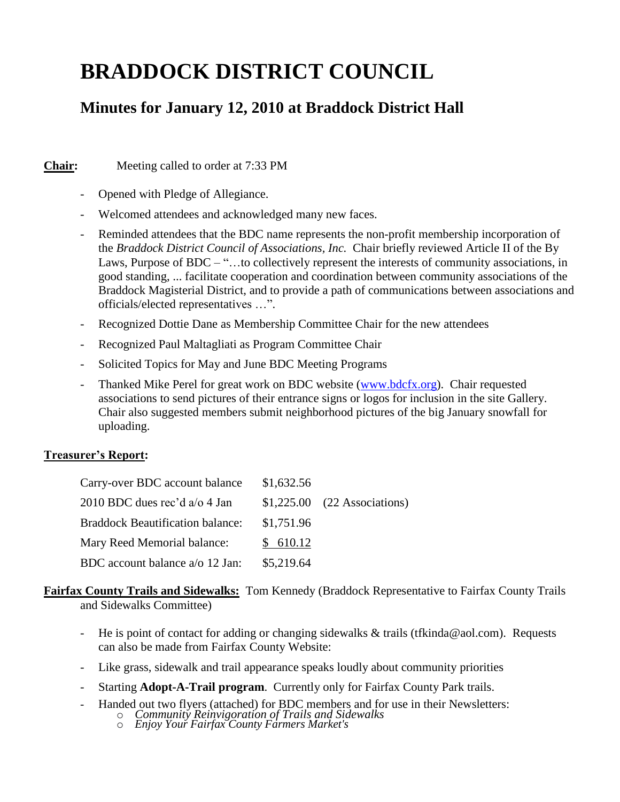# **BRADDOCK DISTRICT COUNCIL**

# **Minutes for January 12, 2010 at Braddock District Hall**

**Chair:** Meeting called to order at 7:33 PM

- Opened with Pledge of Allegiance.
- Welcomed attendees and acknowledged many new faces.
- Reminded attendees that the BDC name represents the non-profit membership incorporation of the *Braddock District Council of Associations, Inc.* Chair briefly reviewed Article II of the By Laws, Purpose of BDC – "...to collectively represent the interests of community associations, in good standing, ... facilitate cooperation and coordination between community associations of the Braddock Magisterial District, and to provide a path of communications between associations and officials/elected representatives …".
- Recognized Dottie Dane as Membership Committee Chair for the new attendees
- Recognized Paul Maltagliati as Program Committee Chair
- Solicited Topics for May and June BDC Meeting Programs
- Thanked Mike Perel for great work on BDC website [\(www.bdcfx.org\)](http://www.bdcfx.org/). Chair requested associations to send pictures of their entrance signs or logos for inclusion in the site Gallery. Chair also suggested members submit neighborhood pictures of the big January snowfall for uploading.

# **Treasurer's Report:**

| Carry-over BDC account balance          | \$1,632.56 |                               |
|-----------------------------------------|------------|-------------------------------|
| 2010 BDC dues rec'd $a/o 4$ Jan         |            | $$1,225.00$ (22 Associations) |
| <b>Braddock Beautification balance:</b> | \$1,751.96 |                               |
| Mary Reed Memorial balance:             | \$610.12   |                               |
| BDC account balance a/o 12 Jan:         | \$5,219.64 |                               |

## **Fairfax County Trails and Sidewalks:** Tom Kennedy (Braddock Representative to Fairfax County Trails and Sidewalks Committee)

- He is point of contact for adding or changing sidewalks  $\&$  trails (tfkinda@aol.com). Requests can also be made from Fairfax County Website:
- Like grass, sidewalk and trail appearance speaks loudly about community priorities
- Starting **Adopt-A-Trail program**. Currently only for Fairfax County Park trails.
- Handed out two flyers (attached) for BDC members and for use in their Newsletters:
	- o *Community Reinvigoration of Trails and Sidewalks*
		- o *Enjoy Your Fairfax County Farmers Market's*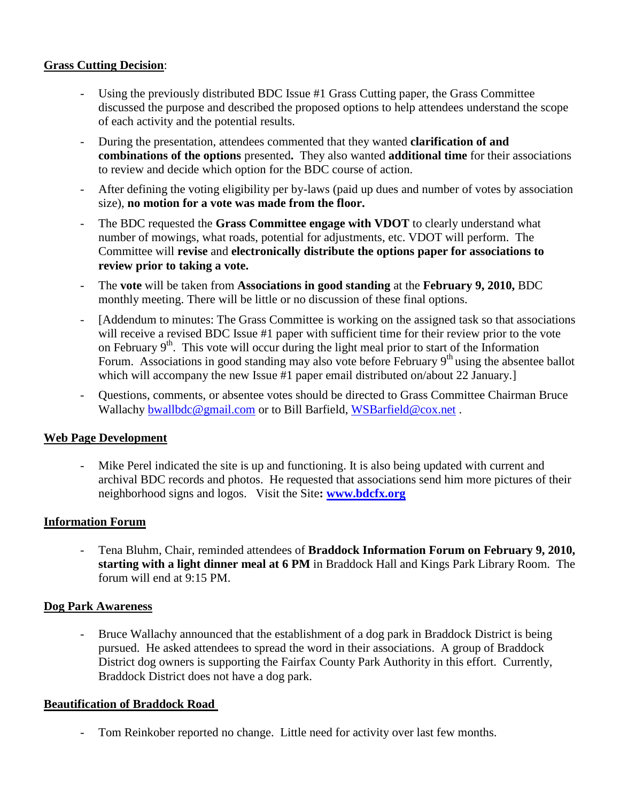# **Grass Cutting Decision**:

- Using the previously distributed BDC Issue #1 Grass Cutting paper, the Grass Committee discussed the purpose and described the proposed options to help attendees understand the scope of each activity and the potential results.
- During the presentation, attendees commented that they wanted **clarification of and combinations of the options** presented**.** They also wanted **additional time** for their associations to review and decide which option for the BDC course of action.
- After defining the voting eligibility per by-laws (paid up dues and number of votes by association size), **no motion for a vote was made from the floor.**
- The BDC requested the **Grass Committee engage with VDOT** to clearly understand what number of mowings, what roads, potential for adjustments, etc. VDOT will perform. The Committee will **revise** and **electronically distribute the options paper for associations to review prior to taking a vote.**
- The **vote** will be taken from **Associations in good standing** at the **February 9, 2010,** BDC monthly meeting. There will be little or no discussion of these final options.
- [Addendum to minutes: The Grass Committee is working on the assigned task so that associations will receive a revised BDC Issue #1 paper with sufficient time for their review prior to the vote on February  $9<sup>th</sup>$ . This vote will occur during the light meal prior to start of the Information Forum. Associations in good standing may also vote before February  $9<sup>th</sup>$  using the absentee ballot which will accompany the new Issue #1 paper email distributed on/about 22 January.
- Questions, comments, or absentee votes should be directed to Grass Committee Chairman Bruce Wallachy [bwallbdc@gmail.com](mailto:bwallbdc@gmail.com) or to Bill Barfield, [WSBarfield@cox.net](mailto:WSBarfield@cox.net).

## **Web Page Development**

- Mike Perel indicated the site is up and functioning. It is also being updated with current and archival BDC records and photos. He requested that associations send him more pictures of their neighborhood signs and logos. Visit the Site**: [www.bdcfx.org](http://www.bdcfx.org/)**

## **Information Forum**

- Tena Bluhm, Chair, reminded attendees of **Braddock Information Forum on February 9, 2010, starting with a light dinner meal at 6 PM** in Braddock Hall and Kings Park Library Room. The forum will end at 9:15 PM.

## **Dog Park Awareness**

- Bruce Wallachy announced that the establishment of a dog park in Braddock District is being pursued. He asked attendees to spread the word in their associations. A group of Braddock District dog owners is supporting the Fairfax County Park Authority in this effort. Currently, Braddock District does not have a dog park.

## **Beautification of Braddock Road**

- Tom Reinkober reported no change. Little need for activity over last few months.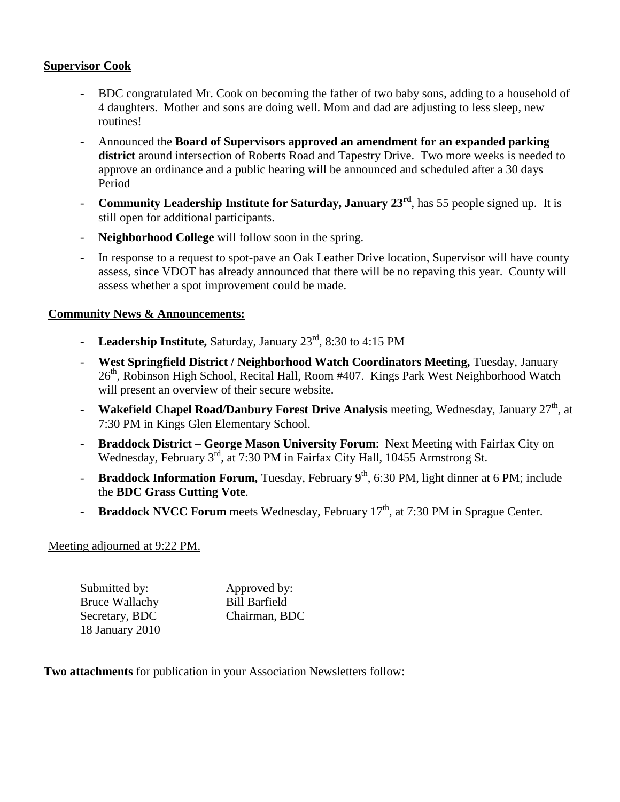#### **Supervisor Cook**

- BDC congratulated Mr. Cook on becoming the father of two baby sons, adding to a household of 4 daughters. Mother and sons are doing well. Mom and dad are adjusting to less sleep, new routines!
- Announced the **Board of Supervisors approved an amendment for an expanded parking district** around intersection of Roberts Road and Tapestry Drive. Two more weeks is needed to approve an ordinance and a public hearing will be announced and scheduled after a 30 days Period
- **Community Leadership Institute for Saturday, January 23rd**, has 55 people signed up. It is still open for additional participants.
- **Neighborhood College** will follow soon in the spring.
- In response to a request to spot-pave an Oak Leather Drive location, Supervisor will have county assess, since VDOT has already announced that there will be no repaving this year. County will assess whether a spot improvement could be made.

#### **Community News & Announcements:**

- **Leadership Institute,** Saturday, January 23rd, 8:30 to 4:15 PM
- **West Springfield District / Neighborhood Watch Coordinators Meeting,** Tuesday, January 26<sup>th</sup>, Robinson High School, Recital Hall, Room #407. Kings Park West Neighborhood Watch will present an overview of their secure website.
- **Wakefield Chapel Road/Danbury Forest Drive Analysis** meeting, Wednesday, January 27<sup>th</sup>, at 7:30 PM in Kings Glen Elementary School.
- **Braddock District – George Mason University Forum**: Next Meeting with Fairfax City on Wednesday, February 3<sup>rd</sup>, at 7:30 PM in Fairfax City Hall, 10455 Armstrong St.
- **- Braddock Information Forum,** Tuesday, February 9<sup>th</sup>, 6:30 PM, light dinner at 6 PM; include the **BDC Grass Cutting Vote**.
- **Braddock NVCC Forum** meets Wednesday, February 17<sup>th</sup>, at 7:30 PM in Sprague Center.

#### Meeting adjourned at 9:22 PM.

| Submitted by:         | Approved by:         |  |
|-----------------------|----------------------|--|
| <b>Bruce Wallachy</b> | <b>Bill Barfield</b> |  |
| Secretary, BDC        | Chairman, BDC        |  |
| 18 January 2010       |                      |  |

**Two attachments** for publication in your Association Newsletters follow: